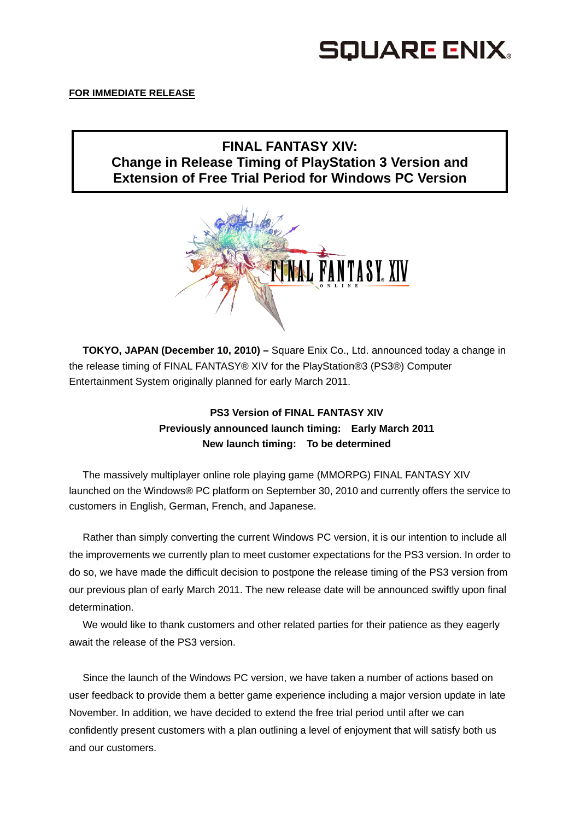## SQUARE ENIX.

### **FOR IMMEDIATE RELEASE**

## **FINAL FANTASY XIV: Change in Release Timing of PlayStation 3 Version and Extension of Free Trial Period for Windows PC Version**



**TOKYO, JAPAN (December 10, 2010) –** Square Enix Co., Ltd. announced today a change in the release timing of FINAL FANTASY® XIV for the PlayStation®3 (PS3®) Computer Entertainment System originally planned for early March 2011.

## **PS3 Version of FINAL FANTASY XIV Previously announced launch timing: Early March 2011 New launch timing: To be determined**

The massively multiplayer online role playing game (MMORPG) FINAL FANTASY XIV launched on the Windows® PC platform on September 30, 2010 and currently offers the service to customers in English, German, French, and Japanese.

Rather than simply converting the current Windows PC version, it is our intention to include all the improvements we currently plan to meet customer expectations for the PS3 version. In order to do so, we have made the difficult decision to postpone the release timing of the PS3 version from our previous plan of early March 2011. The new release date will be announced swiftly upon final determination.

We would like to thank customers and other related parties for their patience as they eagerly await the release of the PS3 version.

Since the launch of the Windows PC version, we have taken a number of actions based on user feedback to provide them a better game experience including a major version update in late November. In addition, we have decided to extend the free trial period until after we can confidently present customers with a plan outlining a level of enjoyment that will satisfy both us and our customers.